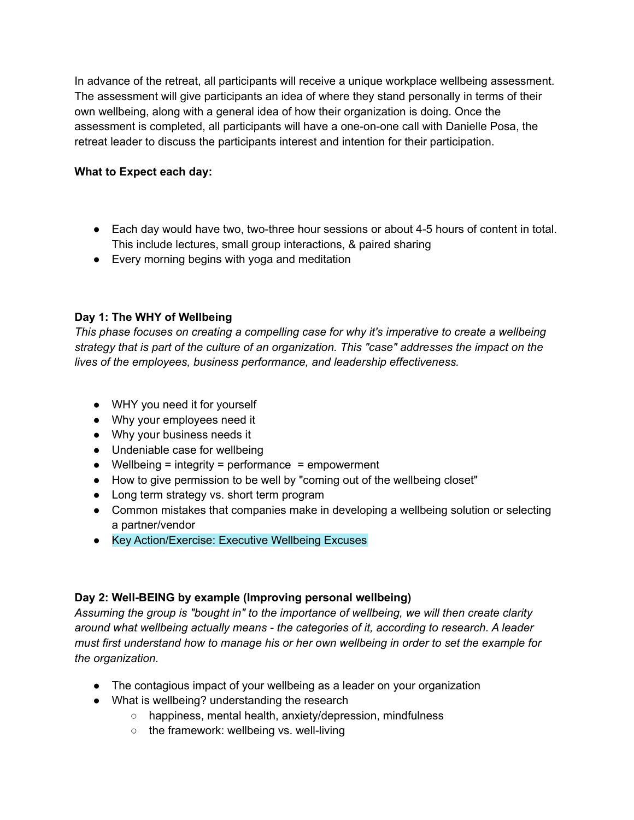In advance of the retreat, all participants will receive a unique workplace wellbeing assessment. The assessment will give participants an idea of where they stand personally in terms of their own wellbeing, along with a general idea of how their organization is doing. Once the assessment is completed, all participants will have a one-on-one call with Danielle Posa, the retreat leader to discuss the participants interest and intention for their participation.

## **What to Expect each day:**

- Each day would have two, two-three hour sessions or about 4-5 hours of content in total. This include lectures, small group interactions, & paired sharing
- Every morning begins with yoga and meditation

# **Day 1: The WHY of Wellbeing**

*This phase focuses on creating a compelling case for why it's imperative to create a wellbeing strategy that is part of the culture of an organization. This "case" addresses the impact on the lives of the employees, business performance, and leadership effectiveness.*

- WHY you need it for yourself
- Why your employees need it
- Why your business needs it
- Undeniable case for wellbeing
- Wellbeing = integrity = performance = empowerment
- How to give permission to be well by "coming out of the wellbeing closet"
- Long term strategy vs. short term program
- Common mistakes that companies make in developing a wellbeing solution or selecting a partner/vendor
- Key Action/Exercise: Executive Wellbeing Excuses

## **Day 2: Well-BEING by example (Improving personal wellbeing)**

*Assuming the group is "bought in" to the importance of wellbeing, we will then create clarity around what wellbeing actually means - the categories of it, according to research. A leader must first understand how to manage his or her own wellbeing in order to set the example for the organization.*

- The contagious impact of your wellbeing as a leader on your organization
- What is wellbeing? understanding the research
	- happiness, mental health, anxiety/depression, mindfulness
	- the framework: wellbeing vs. well-living